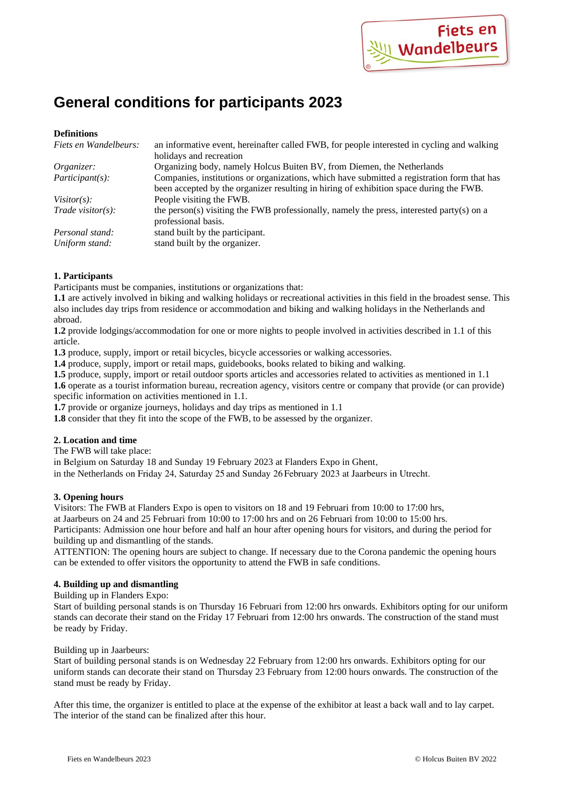

# **General conditions for participants 2023**

## **Definitions**

| Fiets en Wandelbeurs:        | an informative event, hereinafter called FWB, for people interested in cycling and walking                                                                                            |
|------------------------------|---------------------------------------------------------------------------------------------------------------------------------------------------------------------------------------|
|                              | holidays and recreation                                                                                                                                                               |
| Organizer:                   | Organizing body, namely Holcus Buiten BV, from Diemen, the Netherlands                                                                                                                |
| Participant(s):              | Companies, institutions or organizations, which have submitted a registration form that has<br>been accepted by the organizer resulting in hiring of exhibition space during the FWB. |
| Visitor $(s)$ :              | People visiting the FWB.                                                                                                                                                              |
| $Trade \text{ visitor}(s)$ : | the person(s) visiting the FWB professionally, namely the press, interested party(s) on a<br>professional basis.                                                                      |
| Personal stand:              | stand built by the participant.                                                                                                                                                       |
| Uniform stand:               | stand built by the organizer.                                                                                                                                                         |

# **1. Participants**

Participants must be companies, institutions or organizations that:

**1.1** are actively involved in biking and walking holidays or recreational activities in this field in the broadest sense. This also includes day trips from residence or accommodation and biking and walking holidays in the Netherlands and abroad.

**1.2** provide lodgings/accommodation for one or more nights to people involved in activities described in 1.1 of this article.

1.3 produce, supply, import or retail bicycles, bicycle accessories or walking accessories.

**1.4** produce, supply, import or retail maps, guidebooks, books related to biking and walking.

**1.5** produce, supply, import or retail outdoor sports articles and accessories related to activities as mentioned in 1.1 **1.6** operate as a tourist information bureau, recreation agency, visitors centre or company that provide (or can provide) specific information on activities mentioned in 1.1.

**1.7** provide or organize journeys, holidays and day trips as mentioned in 1.1

**1.8** consider that they fit into the scope of the FWB, to be assessed by the organizer.

# **2. Location and time**

The FWB will take place:

in Belgium on Saturday 18 and Sunday 19 February 2023 at Flanders Expo in Ghent,

in the Netherlands on Friday 24, Saturday 25 and Sunday 26February 2023 at Jaarbeurs in Utrecht.

# **3. Opening hours**

Visitors: The FWB at Flanders Expo is open to visitors on 18 and 19 Februari from 10:00 to 17:00 hrs, at Jaarbeurs on 24 and 25 Februari from 10:00 to 17:00 hrs and on 26 Februari from 10:00 to 15:00 hrs. Participants: Admission one hour before and half an hour after opening hours for visitors, and during the period for

building up and dismantling of the stands.

ATTENTION: The opening hours are subject to change. If necessary due to the Corona pandemic the opening hours can be extended to offer visitors the opportunity to attend the FWB in safe conditions.

## **4. Building up and dismantling**

Building up in Flanders Expo:

Start of building personal stands is on Thursday 16 Februari from 12:00 hrs onwards. Exhibitors opting for our uniform stands can decorate their stand on the Friday 17 Februari from 12:00 hrs onwards. The construction of the stand must be ready by Friday.

### Building up in Jaarbeurs:

Start of building personal stands is on Wednesday 22 February from 12:00 hrs onwards. Exhibitors opting for our uniform stands can decorate their stand on Thursday 23 February from 12:00 hours onwards. The construction of the stand must be ready by Friday.

After this time, the organizer is entitled to place at the expense of the exhibitor at least a back wall and to lay carpet. The interior of the stand can be finalized after this hour.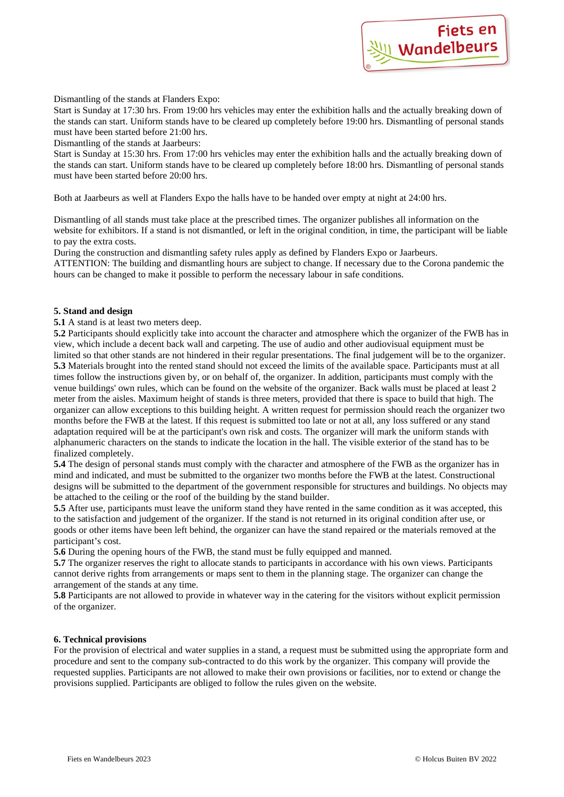

Dismantling of the stands at Flanders Expo:

Start is Sunday at 17:30 hrs. From 19:00 hrs vehicles may enter the exhibition halls and the actually breaking down of the stands can start. Uniform stands have to be cleared up completely before 19:00 hrs. Dismantling of personal stands must have been started before 21:00 hrs.

Dismantling of the stands at Jaarbeurs:

Start is Sunday at 15:30 hrs. From 17:00 hrs vehicles may enter the exhibition halls and the actually breaking down of the stands can start. Uniform stands have to be cleared up completely before 18:00 hrs. Dismantling of personal stands must have been started before 20:00 hrs.

Both at Jaarbeurs as well at Flanders Expo the halls have to be handed over empty at night at 24:00 hrs.

Dismantling of all stands must take place at the prescribed times. The organizer publishes all information on the website for exhibitors. If a stand is not dismantled, or left in the original condition, in time, the participant will be liable to pay the extra costs.

During the construction and dismantling safety rules apply as defined by Flanders Expo or Jaarbeurs.

ATTENTION: The building and dismantling hours are subject to change. If necessary due to the Corona pandemic the hours can be changed to make it possible to perform the necessary labour in safe conditions.

## **5. Stand and design**

## **5.1** A stand is at least two meters deep.

**5.2** Participants should explicitly take into account the character and atmosphere which the organizer of the FWB has in view, which include a decent back wall and carpeting. The use of audio and other audiovisual equipment must be limited so that other stands are not hindered in their regular presentations. The final judgement will be to the organizer. **5.3** Materials brought into the rented stand should not exceed the limits of the available space. Participants must at all times follow the instructions given by, or on behalf of, the organizer. In addition, participants must comply with the venue buildings' own rules, which can be found on the website of the organizer. Back walls must be placed at least 2 meter from the aisles. Maximum height of stands is three meters, provided that there is space to build that high. The organizer can allow exceptions to this building height. A written request for permission should reach the organizer two months before the FWB at the latest. If this request is submitted too late or not at all, any loss suffered or any stand adaptation required will be at the participant's own risk and costs. The organizer will mark the uniform stands with alphanumeric characters on the stands to indicate the location in the hall. The visible exterior of the stand has to be finalized completely.

**5.4** The design of personal stands must comply with the character and atmosphere of the FWB as the organizer has in mind and indicated, and must be submitted to the organizer two months before the FWB at the latest. Constructional designs will be submitted to the department of the government responsible for structures and buildings. No objects may be attached to the ceiling or the roof of the building by the stand builder.

**5.5** After use, participants must leave the uniform stand they have rented in the same condition as it was accepted, this to the satisfaction and judgement of the organizer. If the stand is not returned in its original condition after use, or goods or other items have been left behind, the organizer can have the stand repaired or the materials removed at the participant's cost.

**5.6** During the opening hours of the FWB, the stand must be fully equipped and manned.

**5.7** The organizer reserves the right to allocate stands to participants in accordance with his own views. Participants cannot derive rights from arrangements or maps sent to them in the planning stage. The organizer can change the arrangement of the stands at any time.

**5.8** Participants are not allowed to provide in whatever way in the catering for the visitors without explicit permission of the organizer.

# **6. Technical provisions**

For the provision of electrical and water supplies in a stand, a request must be submitted using the appropriate form and procedure and sent to the company sub-contracted to do this work by the organizer. This company will provide the requested supplies. Participants are not allowed to make their own provisions or facilities, nor to extend or change the provisions supplied. Participants are obliged to follow the rules given on the website.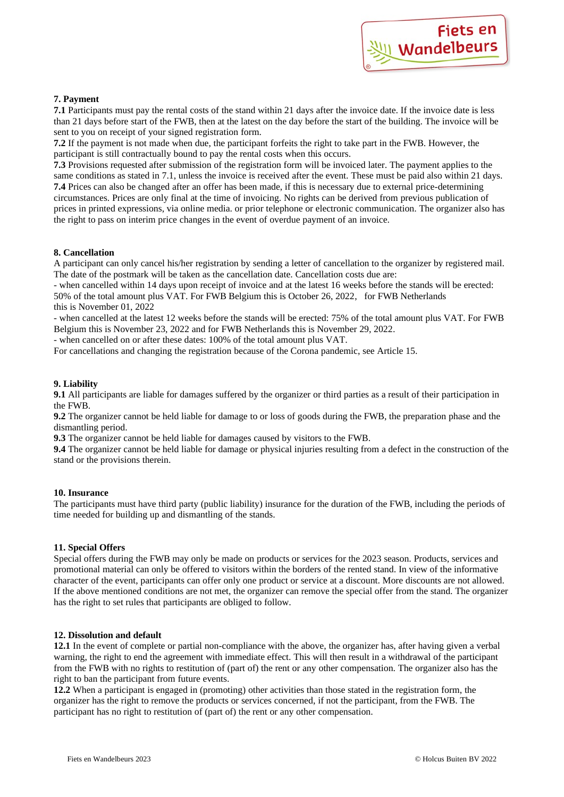

# **7. Payment**

**7.1** Participants must pay the rental costs of the stand within 21 days after the invoice date. If the invoice date is less than 21 days before start of the FWB, then at the latest on the day before the start of the building. The invoice will be sent to you on receipt of your signed registration form.

**7.2** If the payment is not made when due, the participant forfeits the right to take part in the FWB. However, the participant is still contractually bound to pay the rental costs when this occurs.

**7.3** Provisions requested after submission of the registration form will be invoiced later. The payment applies to the same conditions as stated in 7.1, unless the invoice is received after the event. These must be paid also within 21 days. **7.4** Prices can also be changed after an offer has been made, if this is necessary due to external price-determining circumstances. Prices are only final at the time of invoicing. No rights can be derived from previous publication of prices in printed expressions, via online media. or prior telephone or electronic communication. The organizer also has the right to pass on interim price changes in the event of overdue payment of an invoice.

## **8. Cancellation**

A participant can only cancel his/her registration by sending a letter of cancellation to the organizer by registered mail. The date of the postmark will be taken as the cancellation date. Cancellation costs due are:

- when cancelled within 14 days upon receipt of invoice and at the latest 16 weeks before the stands will be erected: 50% of the total amount plus VAT. For FWB Belgium this is October 26, 2022, for FWB Netherlands this is November 01, 2022

- when cancelled at the latest 12 weeks before the stands will be erected: 75% of the total amount plus VAT. For FWB Belgium this is November 23, 2022 and for FWB Netherlands this is November 29, 2022.

- when cancelled on or after these dates: 100% of the total amount plus VAT.

For cancellations and changing the registration because of the Corona pandemic, see Article 15.

# **9. Liability**

**9.1** All participants are liable for damages suffered by the organizer or third parties as a result of their participation in the FWB.

**9.2** The organizer cannot be held liable for damage to or loss of goods during the FWB, the preparation phase and the dismantling period.

**9.3** The organizer cannot be held liable for damages caused by visitors to the FWB.

**9.4** The organizer cannot be held liable for damage or physical injuries resulting from a defect in the construction of the stand or the provisions therein.

### **10. Insurance**

The participants must have third party (public liability) insurance for the duration of the FWB, including the periods of time needed for building up and dismantling of the stands.

# **11. Special Offers**

Special offers during the FWB may only be made on products or services for the 2023 season. Products, services and promotional material can only be offered to visitors within the borders of the rented stand. In view of the informative character of the event, participants can offer only one product or service at a discount. More discounts are not allowed. If the above mentioned conditions are not met, the organizer can remove the special offer from the stand. The organizer has the right to set rules that participants are obliged to follow.

### **12. Dissolution and default**

**12.1** In the event of complete or partial non-compliance with the above, the organizer has, after having given a verbal warning, the right to end the agreement with immediate effect. This will then result in a withdrawal of the participant from the FWB with no rights to restitution of (part of) the rent or any other compensation. The organizer also has the right to ban the participant from future events.

**12.2** When a participant is engaged in (promoting) other activities than those stated in the registration form, the organizer has the right to remove the products or services concerned, if not the participant, from the FWB. The participant has no right to restitution of (part of) the rent or any other compensation.